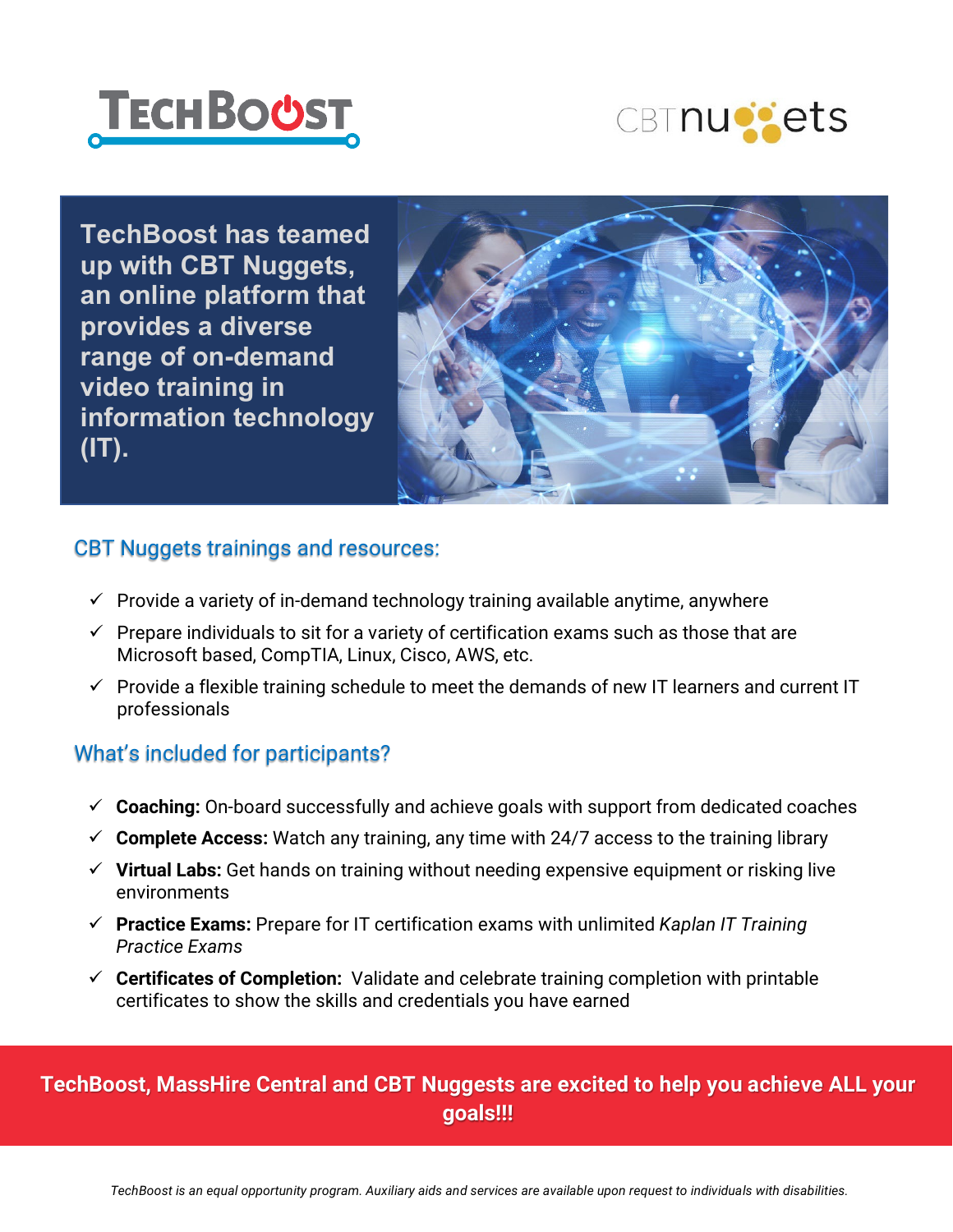



**TechBoost has teamed up with CBT Nuggets, an online platform that provides a diverse range of on-demand video training in information technology (IT).**



#### CBT Nuggets trainings and resources:

- $\checkmark$  Provide a variety of in-demand technology training available anytime, anywhere
- $\checkmark$  Prepare individuals to sit for a variety of certification exams such as those that are Microsoft based, CompTIA, Linux, Cisco, AWS, etc.
- $\checkmark$  Provide a flexible training schedule to meet the demands of new IT learners and current IT professionals

## What's included for participants?

- **Coaching:** On-board successfully and achieve goals with support from dedicated coaches
- $\checkmark$  Complete Access: Watch any training, any time with 24/7 access to the training library
- **Virtual Labs:** Get hands on training without needing expensive equipment or risking live environments
- **Practice Exams:** Prepare for IT certification exams with unlimited *Kaplan IT Training Practice Exams*
- **Certificates of Completion:** Validate and celebrate training completion with printable certificates to show the skills and credentials you have earned

## **TechBoost, MassHire Central and CBT Nuggests are excited to help you achieve ALL your goals!!!**